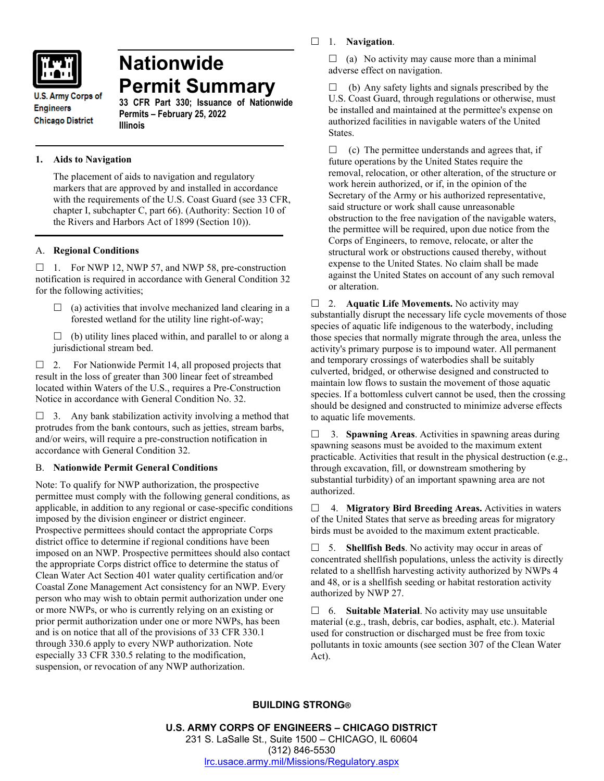

# **Nationwide Permit Summary**

**U.S. Army Corps of Engineers Chicago District** 

**33 CFR Part 330; Issuance of Nationwide Permits – February 25, 2022 Illinois**

# **1. Aids to Navigation**

The placement of aids to navigation and regulatory markers that are approved by and installed in accordance with the requirements of the U.S. Coast Guard (see 33 CFR, chapter I, subchapter C, part 66). (Authority: Section 10 of the Rivers and Harbors Act of 1899 (Section 10)).

# A. **Regional Conditions**

 $\Box$  1. For NWP 12, NWP 57, and NWP 58, pre-construction notification is required in accordance with General Condition 32 for the following activities;

- $\Box$  (a) activities that involve mechanized land clearing in a forested wetland for the utility line right-of-way;
- $\Box$  (b) utility lines placed within, and parallel to or along a jurisdictional stream bed.

 $\Box$  2. For Nationwide Permit 14, all proposed projects that result in the loss of greater than 300 linear feet of streambed located within Waters of the U.S., requires a Pre-Construction Notice in accordance with General Condition No. 32.

 $\Box$  3. Any bank stabilization activity involving a method that protrudes from the bank contours, such as jetties, stream barbs, and/or weirs, will require a pre-construction notification in accordance with General Condition 32.

## B. **Nationwide Permit General Conditions**

Note: To qualify for NWP authorization, the prospective permittee must comply with the following general conditions, as applicable, in addition to any regional or case-specific conditions imposed by the division engineer or district engineer. Prospective permittees should contact the appropriate Corps district office to determine if regional conditions have been imposed on an NWP. Prospective permittees should also contact the appropriate Corps district office to determine the status of Clean Water Act Section 401 water quality certification and/or Coastal Zone Management Act consistency for an NWP. Every person who may wish to obtain permit authorization under one or more NWPs, or who is currently relying on an existing or prior permit authorization under one or more NWPs, has been and is on notice that all of the provisions of 33 CFR 330.1 through 330.6 apply to every NWP authorization. Note especially 33 CFR 330.5 relating to the modification, suspension, or revocation of any NWP authorization.

## 1. **Navigation**.

 $\Box$  (a) No activity may cause more than a minimal adverse effect on navigation.

 $\Box$  (b) Any safety lights and signals prescribed by the U.S. Coast Guard, through regulations or otherwise, must be installed and maintained at the permittee's expense on authorized facilities in navigable waters of the United States.

 $\Box$  (c) The permittee understands and agrees that, if future operations by the United States require the removal, relocation, or other alteration, of the structure or work herein authorized, or if, in the opinion of the Secretary of the Army or his authorized representative, said structure or work shall cause unreasonable obstruction to the free navigation of the navigable waters, the permittee will be required, upon due notice from the Corps of Engineers, to remove, relocate, or alter the structural work or obstructions caused thereby, without expense to the United States. No claim shall be made against the United States on account of any such removal or alteration.

□ 2. **Aquatic Life Movements.** No activity may substantially disrupt the necessary life cycle movements of those species of aquatic life indigenous to the waterbody, including those species that normally migrate through the area, unless the activity's primary purpose is to impound water. All permanent and temporary crossings of waterbodies shall be suitably culverted, bridged, or otherwise designed and constructed to maintain low flows to sustain the movement of those aquatic species. If a bottomless culvert cannot be used, then the crossing should be designed and constructed to minimize adverse effects to aquatic life movements.

 3. **Spawning Areas**. Activities in spawning areas during spawning seasons must be avoided to the maximum extent practicable. Activities that result in the physical destruction (e.g., through excavation, fill, or downstream smothering by substantial turbidity) of an important spawning area are not authorized.

 4. **Migratory Bird Breeding Areas.** Activities in waters of the United States that serve as breeding areas for migratory birds must be avoided to the maximum extent practicable.

 5. **Shellfish Beds**. No activity may occur in areas of concentrated shellfish populations, unless the activity is directly related to a shellfish harvesting activity authorized by NWPs 4 and 48, or is a shellfish seeding or habitat restoration activity authorized by NWP 27.

 6. **Suitable Material**. No activity may use unsuitable material (e.g., trash, debris, car bodies, asphalt, etc.). Material used for construction or discharged must be free from toxic pollutants in toxic amounts (see section 307 of the Clean Water Act).

# **BUILDING STRONG®**

**U.S. ARMY CORPS OF ENGINEERS – CHICAGO DISTRICT** 231 S. LaSalle St., Suite 1500 – CHICAGO, IL 60604 (312) 846-5530 [lrc.usace.army.mil/Missions/Regulatory.aspx](https://www.lrc.usace.army.mil/Missions/Regulatory.aspx)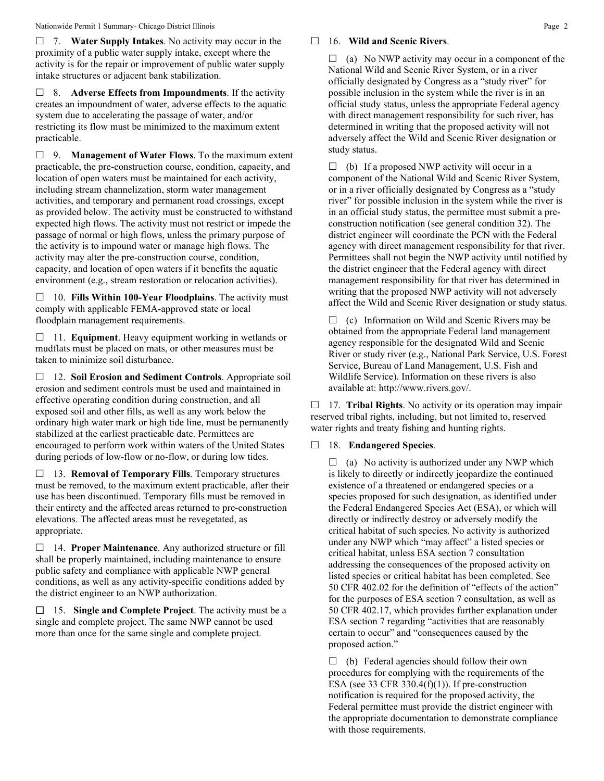7. **Water Supply Intakes**. No activity may occur in the proximity of a public water supply intake, except where the activity is for the repair or improvement of public water supply intake structures or adjacent bank stabilization.

 8. **Adverse Effects from Impoundments**. If the activity creates an impoundment of water, adverse effects to the aquatic system due to accelerating the passage of water, and/or restricting its flow must be minimized to the maximum extent practicable.

 9. **Management of Water Flows**. To the maximum extent practicable, the pre-construction course, condition, capacity, and location of open waters must be maintained for each activity, including stream channelization, storm water management activities, and temporary and permanent road crossings, except as provided below. The activity must be constructed to withstand expected high flows. The activity must not restrict or impede the passage of normal or high flows, unless the primary purpose of the activity is to impound water or manage high flows. The activity may alter the pre-construction course, condition, capacity, and location of open waters if it benefits the aquatic environment (e.g., stream restoration or relocation activities).

 10. **Fills Within 100-Year Floodplains**. The activity must comply with applicable FEMA-approved state or local floodplain management requirements.

□ 11. **Equipment**. Heavy equipment working in wetlands or mudflats must be placed on mats, or other measures must be taken to minimize soil disturbance.

 12. **Soil Erosion and Sediment Controls**. Appropriate soil erosion and sediment controls must be used and maintained in effective operating condition during construction, and all exposed soil and other fills, as well as any work below the ordinary high water mark or high tide line, must be permanently stabilized at the earliest practicable date. Permittees are encouraged to perform work within waters of the United States during periods of low-flow or no-flow, or during low tides.

 13. **Removal of Temporary Fills**. Temporary structures must be removed, to the maximum extent practicable, after their use has been discontinued. Temporary fills must be removed in their entirety and the affected areas returned to pre-construction elevations. The affected areas must be revegetated, as appropriate.

 14. **Proper Maintenance**. Any authorized structure or fill shall be properly maintained, including maintenance to ensure public safety and compliance with applicable NWP general conditions, as well as any activity-specific conditions added by the district engineer to an NWP authorization.

 15. **Single and Complete Project**. The activity must be a single and complete project. The same NWP cannot be used more than once for the same single and complete project.

#### 16. **Wild and Scenic Rivers**.

 $\Box$  (a) No NWP activity may occur in a component of the National Wild and Scenic River System, or in a river officially designated by Congress as a "study river" for possible inclusion in the system while the river is in an official study status, unless the appropriate Federal agency with direct management responsibility for such river, has determined in writing that the proposed activity will not adversely affect the Wild and Scenic River designation or study status.

 $\Box$  (b) If a proposed NWP activity will occur in a component of the National Wild and Scenic River System, or in a river officially designated by Congress as a "study river" for possible inclusion in the system while the river is in an official study status, the permittee must submit a preconstruction notification (see general condition 32). The district engineer will coordinate the PCN with the Federal agency with direct management responsibility for that river. Permittees shall not begin the NWP activity until notified by the district engineer that the Federal agency with direct management responsibility for that river has determined in writing that the proposed NWP activity will not adversely affect the Wild and Scenic River designation or study status.

 $\Box$  (c) Information on Wild and Scenic Rivers may be obtained from the appropriate Federal land management agency responsible for the designated Wild and Scenic River or study river (e.g., National Park Service, U.S. Forest Service, Bureau of Land Management, U.S. Fish and Wildlife Service). Information on these rivers is also available at: http://www.rivers.gov/.

 17. **Tribal Rights**. No activity or its operation may impair reserved tribal rights, including, but not limited to, reserved water rights and treaty fishing and hunting rights.

## 18. **Endangered Species**.

 $\Box$  (a) No activity is authorized under any NWP which is likely to directly or indirectly jeopardize the continued existence of a threatened or endangered species or a species proposed for such designation, as identified under the Federal Endangered Species Act (ESA), or which will directly or indirectly destroy or adversely modify the critical habitat of such species. No activity is authorized under any NWP which "may affect" a listed species or critical habitat, unless ESA section 7 consultation addressing the consequences of the proposed activity on listed species or critical habitat has been completed. See 50 CFR 402.02 for the definition of "effects of the action" for the purposes of ESA section 7 consultation, as well as 50 CFR 402.17, which provides further explanation under ESA section 7 regarding "activities that are reasonably certain to occur" and "consequences caused by the proposed action."

 $\Box$  (b) Federal agencies should follow their own procedures for complying with the requirements of the ESA (see 33 CFR 330.4 $(f)(1)$ ). If pre-construction notification is required for the proposed activity, the Federal permittee must provide the district engineer with the appropriate documentation to demonstrate compliance with those requirements.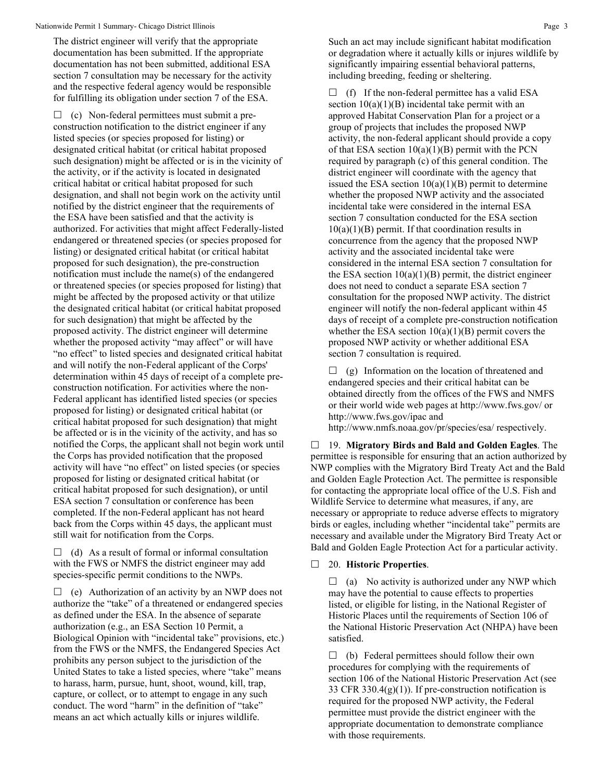The district engineer will verify that the appropriate documentation has been submitted. If the appropriate documentation has not been submitted, additional ESA section 7 consultation may be necessary for the activity and the respective federal agency would be responsible for fulfilling its obligation under section 7 of the ESA.

 $\Box$  (c) Non-federal permittees must submit a preconstruction notification to the district engineer if any listed species (or species proposed for listing) or designated critical habitat (or critical habitat proposed such designation) might be affected or is in the vicinity of the activity, or if the activity is located in designated critical habitat or critical habitat proposed for such designation, and shall not begin work on the activity until notified by the district engineer that the requirements of the ESA have been satisfied and that the activity is authorized. For activities that might affect Federally-listed endangered or threatened species (or species proposed for listing) or designated critical habitat (or critical habitat proposed for such designation), the pre-construction notification must include the name(s) of the endangered or threatened species (or species proposed for listing) that might be affected by the proposed activity or that utilize the designated critical habitat (or critical habitat proposed for such designation) that might be affected by the proposed activity. The district engineer will determine whether the proposed activity "may affect" or will have "no effect" to listed species and designated critical habitat and will notify the non-Federal applicant of the Corps' determination within 45 days of receipt of a complete preconstruction notification. For activities where the non-Federal applicant has identified listed species (or species proposed for listing) or designated critical habitat (or critical habitat proposed for such designation) that might be affected or is in the vicinity of the activity, and has so notified the Corps, the applicant shall not begin work until the Corps has provided notification that the proposed activity will have "no effect" on listed species (or species proposed for listing or designated critical habitat (or critical habitat proposed for such designation), or until ESA section 7 consultation or conference has been completed. If the non-Federal applicant has not heard back from the Corps within 45 days, the applicant must still wait for notification from the Corps.

 $\Box$  (d) As a result of formal or informal consultation with the FWS or NMFS the district engineer may add species-specific permit conditions to the NWPs.

 $\Box$  (e) Authorization of an activity by an NWP does not authorize the "take" of a threatened or endangered species as defined under the ESA. In the absence of separate authorization (e.g., an ESA Section 10 Permit, a Biological Opinion with "incidental take" provisions, etc.) from the FWS or the NMFS, the Endangered Species Act prohibits any person subject to the jurisdiction of the United States to take a listed species, where "take" means to harass, harm, pursue, hunt, shoot, wound, kill, trap, capture, or collect, or to attempt to engage in any such conduct. The word "harm" in the definition of "take" means an act which actually kills or injures wildlife.

Such an act may include significant habitat modification or degradation where it actually kills or injures wildlife by significantly impairing essential behavioral patterns, including breeding, feeding or sheltering.

 $\Box$  (f) If the non-federal permittee has a valid ESA section  $10(a)(1)(B)$  incidental take permit with an approved Habitat Conservation Plan for a project or a group of projects that includes the proposed NWP activity, the non-federal applicant should provide a copy of that ESA section  $10(a)(1)(B)$  permit with the PCN required by paragraph (c) of this general condition. The district engineer will coordinate with the agency that issued the ESA section  $10(a)(1)(B)$  permit to determine whether the proposed NWP activity and the associated incidental take were considered in the internal ESA section 7 consultation conducted for the ESA section  $10(a)(1)(B)$  permit. If that coordination results in concurrence from the agency that the proposed NWP activity and the associated incidental take were considered in the internal ESA section 7 consultation for the ESA section  $10(a)(1)(B)$  permit, the district engineer does not need to conduct a separate ESA section 7 consultation for the proposed NWP activity. The district engineer will notify the non-federal applicant within 45 days of receipt of a complete pre-construction notification whether the ESA section  $10(a)(1)(B)$  permit covers the proposed NWP activity or whether additional ESA section 7 consultation is required.

 $\Box$  (g) Information on the location of threatened and endangered species and their critical habitat can be obtained directly from the offices of the FWS and NMFS or their world wide web pages at http://www.fws.gov/ or http://www.fws.gov/ipac and

http://www.nmfs.noaa.gov/pr/species/esa/ respectively.

 19. **Migratory Birds and Bald and Golden Eagles**. The permittee is responsible for ensuring that an action authorized by NWP complies with the Migratory Bird Treaty Act and the Bald and Golden Eagle Protection Act. The permittee is responsible for contacting the appropriate local office of the U.S. Fish and Wildlife Service to determine what measures, if any, are necessary or appropriate to reduce adverse effects to migratory birds or eagles, including whether "incidental take" permits are necessary and available under the Migratory Bird Treaty Act or Bald and Golden Eagle Protection Act for a particular activity.

#### 20. **Historic Properties**.

 $\Box$  (a) No activity is authorized under any NWP which may have the potential to cause effects to properties listed, or eligible for listing, in the National Register of Historic Places until the requirements of Section 106 of the National Historic Preservation Act (NHPA) have been satisfied.

 $\Box$  (b) Federal permittees should follow their own procedures for complying with the requirements of section 106 of the National Historic Preservation Act (see 33 CFR 330.4 $(g)(1)$ ). If pre-construction notification is required for the proposed NWP activity, the Federal permittee must provide the district engineer with the appropriate documentation to demonstrate compliance with those requirements.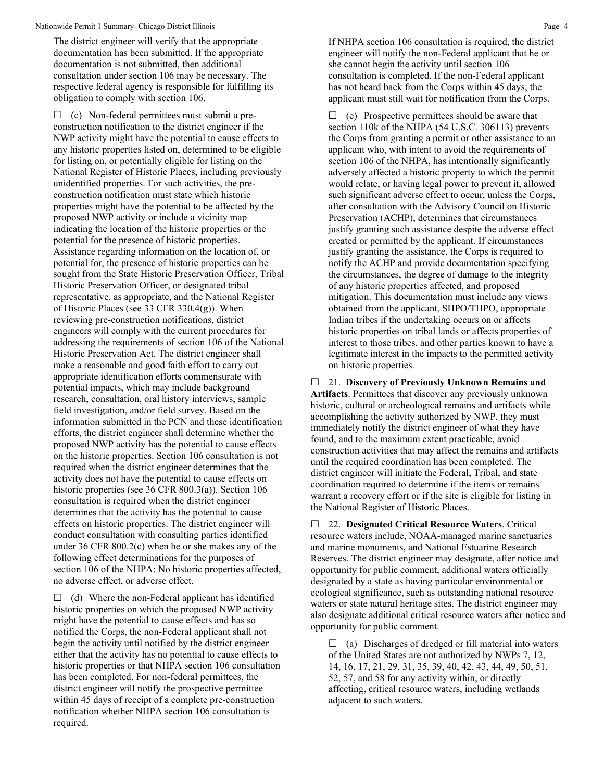The district engineer will verify that the appropriate documentation has been submitted. If the appropriate documentation is not submitted, then additional consultation under section 106 may be necessary. The respective federal agency is responsible for fulfilling its obligation to comply with section 106.

 $\Box$  (c) Non-federal permittees must submit a preconstruction notification to the district engineer if the NWP activity might have the potential to cause effects to any historic properties listed on, determined to be eligible for listing on, or potentially eligible for listing on the National Register of Historic Places, including previously unidentified properties. For such activities, the preconstruction notification must state which historic properties might have the potential to be affected by the proposed NWP activity or include a vicinity map indicating the location of the historic properties or the potential for the presence of historic properties. Assistance regarding information on the location of, or potential for, the presence of historic properties can be sought from the State Historic Preservation Officer, Tribal Historic Preservation Officer, or designated tribal representative, as appropriate, and the National Register of Historic Places (see 33 CFR 330.4(g)). When reviewing pre-construction notifications, district engineers will comply with the current procedures for addressing the requirements of section 106 of the National Historic Preservation Act. The district engineer shall make a reasonable and good faith effort to carry out appropriate identification efforts commensurate with potential impacts, which may include background research, consultation, oral history interviews, sample field investigation, and/or field survey. Based on the information submitted in the PCN and these identification efforts, the district engineer shall determine whether the proposed NWP activity has the potential to cause effects on the historic properties. Section 106 consultation is not required when the district engineer determines that the activity does not have the potential to cause effects on historic properties (see 36 CFR 800.3(a)). Section 106 consultation is required when the district engineer determines that the activity has the potential to cause effects on historic properties. The district engineer will conduct consultation with consulting parties identified under 36 CFR 800.2(c) when he or she makes any of the following effect determinations for the purposes of section 106 of the NHPA: No historic properties affected, no adverse effect, or adverse effect.

 $\Box$  (d) Where the non-Federal applicant has identified historic properties on which the proposed NWP activity might have the potential to cause effects and has so notified the Corps, the non-Federal applicant shall not begin the activity until notified by the district engineer either that the activity has no potential to cause effects to historic properties or that NHPA section 106 consultation has been completed. For non-federal permittees, the district engineer will notify the prospective permittee within 45 days of receipt of a complete pre-construction notification whether NHPA section 106 consultation is required.

If NHPA section 106 consultation is required, the district engineer will notify the non-Federal applicant that he or she cannot begin the activity until section 106 consultation is completed. If the non-Federal applicant has not heard back from the Corps within 45 days, the applicant must still wait for notification from the Corps.

 $\Box$  (e) Prospective permittees should be aware that section 110k of the NHPA (54 U.S.C. 306113) prevents the Corps from granting a permit or other assistance to an applicant who, with intent to avoid the requirements of section 106 of the NHPA, has intentionally significantly adversely affected a historic property to which the permit would relate, or having legal power to prevent it, allowed such significant adverse effect to occur, unless the Corps, after consultation with the Advisory Council on Historic Preservation (ACHP), determines that circumstances justify granting such assistance despite the adverse effect created or permitted by the applicant. If circumstances justify granting the assistance, the Corps is required to notify the ACHP and provide documentation specifying the circumstances, the degree of damage to the integrity of any historic properties affected, and proposed mitigation. This documentation must include any views obtained from the applicant, SHPO/THPO, appropriate Indian tribes if the undertaking occurs on or affects historic properties on tribal lands or affects properties of interest to those tribes, and other parties known to have a legitimate interest in the impacts to the permitted activity on historic properties.

 21. **Discovery of Previously Unknown Remains and Artifacts**. Permittees that discover any previously unknown historic, cultural or archeological remains and artifacts while accomplishing the activity authorized by NWP, they must immediately notify the district engineer of what they have found, and to the maximum extent practicable, avoid construction activities that may affect the remains and artifacts until the required coordination has been completed. The district engineer will initiate the Federal, Tribal, and state coordination required to determine if the items or remains warrant a recovery effort or if the site is eligible for listing in the National Register of Historic Places.

 22. **Designated Critical Resource Waters**. Critical resource waters include, NOAA-managed marine sanctuaries and marine monuments, and National Estuarine Research Reserves. The district engineer may designate, after notice and opportunity for public comment, additional waters officially designated by a state as having particular environmental or ecological significance, such as outstanding national resource waters or state natural heritage sites. The district engineer may also designate additional critical resource waters after notice and opportunity for public comment.

 $\Box$  (a) Discharges of dredged or fill material into waters of the United States are not authorized by NWPs 7, 12, 14, 16, 17, 21, 29, 31, 35, 39, 40, 42, 43, 44, 49, 50, 51, 52, 57, and 58 for any activity within, or directly affecting, critical resource waters, including wetlands adjacent to such waters.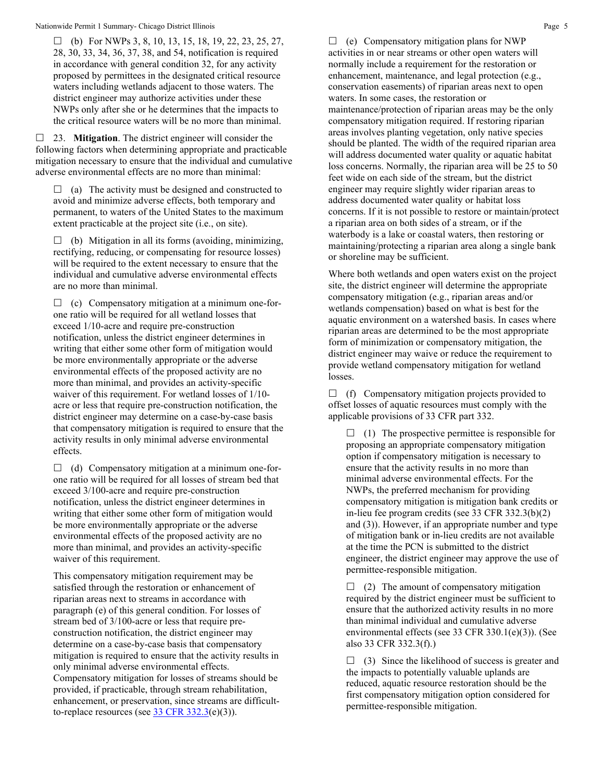$\Box$  (b) For NWPs 3, 8, 10, 13, 15, 18, 19, 22, 23, 25, 27, 28, 30, 33, 34, 36, 37, 38, and 54, notification is required in accordance with general condition 32, for any activity proposed by permittees in the designated critical resource waters including wetlands adjacent to those waters. The district engineer may authorize activities under these NWPs only after she or he determines that the impacts to the critical resource waters will be no more than minimal.

 23. **Mitigation**. The district engineer will consider the following factors when determining appropriate and practicable mitigation necessary to ensure that the individual and cumulative adverse environmental effects are no more than minimal:

 $\Box$  (a) The activity must be designed and constructed to avoid and minimize adverse effects, both temporary and permanent, to waters of the United States to the maximum extent practicable at the project site (i.e., on site).

 $\Box$  (b) Mitigation in all its forms (avoiding, minimizing, rectifying, reducing, or compensating for resource losses) will be required to the extent necessary to ensure that the individual and cumulative adverse environmental effects are no more than minimal.

 $\Box$  (c) Compensatory mitigation at a minimum one-forone ratio will be required for all wetland losses that exceed 1/10-acre and require pre-construction notification, unless the district engineer determines in writing that either some other form of mitigation would be more environmentally appropriate or the adverse environmental effects of the proposed activity are no more than minimal, and provides an activity-specific waiver of this requirement. For wetland losses of 1/10 acre or less that require pre-construction notification, the district engineer may determine on a case-by-case basis that compensatory mitigation is required to ensure that the activity results in only minimal adverse environmental effects.

 $\Box$  (d) Compensatory mitigation at a minimum one-forone ratio will be required for all losses of stream bed that exceed 3/100-acre and require pre-construction notification, unless the district engineer determines in writing that either some other form of mitigation would be more environmentally appropriate or the adverse environmental effects of the proposed activity are no more than minimal, and provides an activity-specific waiver of this requirement.

This compensatory mitigation requirement may be satisfied through the restoration or enhancement of riparian areas next to streams in accordance with paragraph (e) of this general condition. For losses of stream bed of 3/100-acre or less that require preconstruction notification, the district engineer may determine on a case-by-case basis that compensatory mitigation is required to ensure that the activity results in only minimal adverse environmental effects. Compensatory mitigation for losses of streams should be provided, if practicable, through stream rehabilitation, enhancement, or preservation, since streams are difficultto-replace resources (see  $33 \text{ CFR } 332.3(e)(3)$ ).

 $\Box$  (e) Compensatory mitigation plans for NWP activities in or near streams or other open waters will normally include a requirement for the restoration or enhancement, maintenance, and legal protection (e.g., conservation easements) of riparian areas next to open waters. In some cases, the restoration or maintenance/protection of riparian areas may be the only compensatory mitigation required. If restoring riparian areas involves planting vegetation, only native species should be planted. The width of the required riparian area will address documented water quality or aquatic habitat loss concerns. Normally, the riparian area will be 25 to 50 feet wide on each side of the stream, but the district engineer may require slightly wider riparian areas to address documented water quality or habitat loss concerns. If it is not possible to restore or maintain/protect a riparian area on both sides of a stream, or if the waterbody is a lake or coastal waters, then restoring or maintaining/protecting a riparian area along a single bank or shoreline may be sufficient.

Where both wetlands and open waters exist on the project site, the district engineer will determine the appropriate compensatory mitigation (e.g., riparian areas and/or wetlands compensation) based on what is best for the aquatic environment on a watershed basis. In cases where riparian areas are determined to be the most appropriate form of minimization or compensatory mitigation, the district engineer may waive or reduce the requirement to provide wetland compensatory mitigation for wetland losses.

 $\Box$  (f) Compensatory mitigation projects provided to offset losses of aquatic resources must comply with the applicable provisions of 33 CFR part 332.

 $\Box$  (1) The prospective permittee is responsible for proposing an appropriate compensatory mitigation option if compensatory mitigation is necessary to ensure that the activity results in no more than minimal adverse environmental effects. For the NWPs, the preferred mechanism for providing compensatory mitigation is mitigation bank credits or in-lieu fee program credits (see 33 CFR 332.3(b)(2) and (3)). However, if an appropriate number and type of mitigation bank or in-lieu credits are not available at the time the PCN is submitted to the district engineer, the district engineer may approve the use of permittee-responsible mitigation.

 $\Box$  (2) The amount of compensatory mitigation required by the district engineer must be sufficient to ensure that the authorized activity results in no more than minimal individual and cumulative adverse environmental effects (see 33 CFR 330.1(e)(3)). (See also 33 CFR 332.3(f).)

 $\Box$  (3) Since the likelihood of success is greater and the impacts to potentially valuable uplands are reduced, aquatic resource restoration should be the first compensatory mitigation option considered for permittee-responsible mitigation.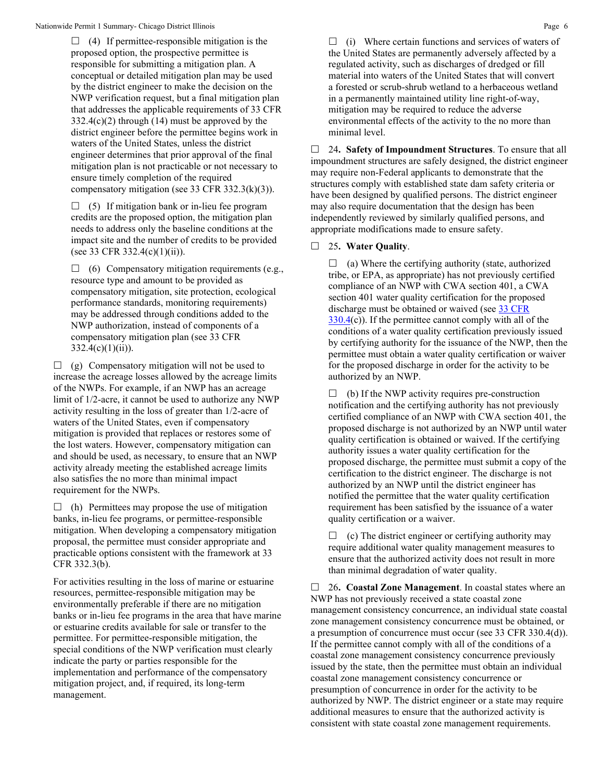$\Box$  (4) If permittee-responsible mitigation is the proposed option, the prospective permittee is responsible for submitting a mitigation plan. A conceptual or detailed mitigation plan may be used by the district engineer to make the decision on the NWP verification request, but a final mitigation plan that addresses the applicable requirements of 33 CFR 332.4(c)(2) through (14) must be approved by the district engineer before the permittee begins work in waters of the United States, unless the district engineer determines that prior approval of the final mitigation plan is not practicable or not necessary to ensure timely completion of the required compensatory mitigation (see 33 CFR 332.3(k)(3)).

 $\Box$  (5) If mitigation bank or in-lieu fee program credits are the proposed option, the mitigation plan needs to address only the baseline conditions at the impact site and the number of credits to be provided (see 33 CFR 332.4(c)(1)(ii)).

 $\Box$  (6) Compensatory mitigation requirements (e.g., resource type and amount to be provided as compensatory mitigation, site protection, ecological performance standards, monitoring requirements) may be addressed through conditions added to the NWP authorization, instead of components of a compensatory mitigation plan (see 33 CFR  $332.4(c)(1)(ii)$ .

 $\Box$  (g) Compensatory mitigation will not be used to increase the acreage losses allowed by the acreage limits of the NWPs. For example, if an NWP has an acreage limit of 1/2-acre, it cannot be used to authorize any NWP activity resulting in the loss of greater than 1/2-acre of waters of the United States, even if compensatory mitigation is provided that replaces or restores some of the lost waters. However, compensatory mitigation can and should be used, as necessary, to ensure that an NWP activity already meeting the established acreage limits also satisfies the no more than minimal impact requirement for the NWPs.

 $\Box$  (h) Permittees may propose the use of mitigation banks, in-lieu fee programs, or permittee-responsible mitigation. When developing a compensatory mitigation proposal, the permittee must consider appropriate and practicable options consistent with the framework at 33 CFR 332.3(b).

For activities resulting in the loss of marine or estuarine resources, permittee-responsible mitigation may be environmentally preferable if there are no mitigation banks or in-lieu fee programs in the area that have marine or estuarine credits available for sale or transfer to the permittee. For permittee-responsible mitigation, the special conditions of the NWP verification must clearly indicate the party or parties responsible for the implementation and performance of the compensatory mitigation project, and, if required, its long-term management.

 $\Box$  (i) Where certain functions and services of waters of the United States are permanently adversely affected by a regulated activity, such as discharges of dredged or fill material into waters of the United States that will convert a forested or scrub-shrub wetland to a herbaceous wetland in a permanently maintained utility line right-of-way, mitigation may be required to reduce the adverse environmental effects of the activity to the no more than minimal level.

 24**. Safety of Impoundment Structures**. To ensure that all impoundment structures are safely designed, the district engineer may require non-Federal applicants to demonstrate that the structures comply with established state dam safety criteria or have been designed by qualified persons. The district engineer may also require documentation that the design has been independently reviewed by similarly qualified persons, and appropriate modifications made to ensure safety.

## 25**. Water Quality**.

 $\Box$  (a) Where the certifying authority (state, authorized tribe, or EPA, as appropriate) has not previously certified compliance of an NWP with CWA section 401, a CWA section 401 water quality certification for the proposed discharge must be obtained or waived (see 33 CFR  $330.4(c)$  $330.4(c)$ ). If the permittee cannot comply with all of the conditions of a water quality certification previously issued by certifying authority for the issuance of the NWP, then the permittee must obtain a water quality certification or waiver for the proposed discharge in order for the activity to be authorized by an NWP.

 $\Box$  (b) If the NWP activity requires pre-construction notification and the certifying authority has not previously certified compliance of an NWP with CWA section 401, the proposed discharge is not authorized by an NWP until water quality certification is obtained or waived. If the certifying authority issues a water quality certification for the proposed discharge, the permittee must submit a copy of the certification to the district engineer. The discharge is not authorized by an NWP until the district engineer has notified the permittee that the water quality certification requirement has been satisfied by the issuance of a water quality certification or a waiver.

 $\Box$  (c) The district engineer or certifying authority may require additional water quality management measures to ensure that the authorized activity does not result in more than minimal degradation of water quality.

 26**. Coastal Zone Management**. In coastal states where an NWP has not previously received a state coastal zone management consistency concurrence, an individual state coastal zone management consistency concurrence must be obtained, or a presumption of concurrence must occur (see 33 CFR 330.4(d)). If the permittee cannot comply with all of the conditions of a coastal zone management consistency concurrence previously issued by the state, then the permittee must obtain an individual coastal zone management consistency concurrence or presumption of concurrence in order for the activity to be authorized by NWP. The district engineer or a state may require additional measures to ensure that the authorized activity is consistent with state coastal zone management requirements.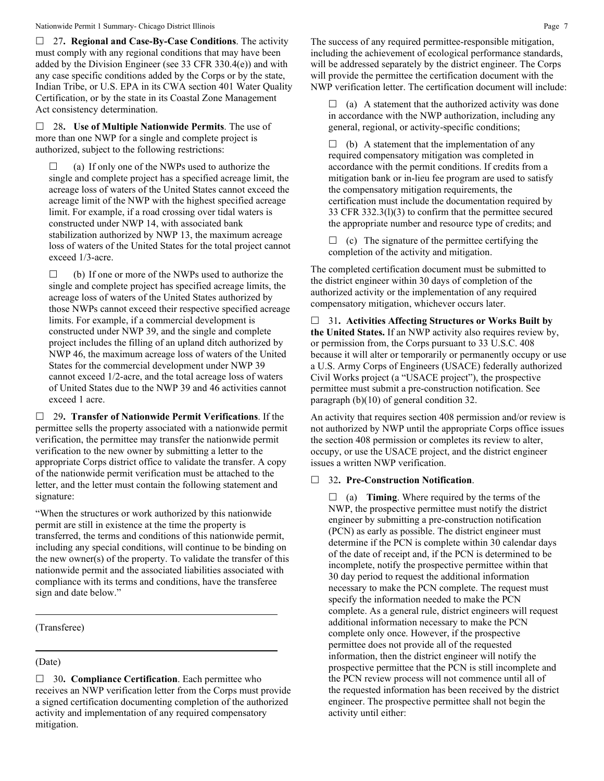#### Nationwide Permit 1 Summary- Chicago District Illinois **Page 7** Page 7

 27**. Regional and Case-By-Case Conditions**. The activity must comply with any regional conditions that may have been added by the Division Engineer (see 33 CFR 330.4(e)) and with any case specific conditions added by the Corps or by the state, Indian Tribe, or U.S. EPA in its CWA section 401 Water Quality Certification, or by the state in its Coastal Zone Management Act consistency determination.

 28**. Use of Multiple Nationwide Permits**. The use of more than one NWP for a single and complete project is authorized, subject to the following restrictions:

 $\Box$  (a) If only one of the NWPs used to authorize the single and complete project has a specified acreage limit, the acreage loss of waters of the United States cannot exceed the acreage limit of the NWP with the highest specified acreage limit. For example, if a road crossing over tidal waters is constructed under NWP 14, with associated bank stabilization authorized by NWP 13, the maximum acreage loss of waters of the United States for the total project cannot exceed 1/3-acre.

 $\Box$  (b) If one or more of the NWPs used to authorize the single and complete project has specified acreage limits, the acreage loss of waters of the United States authorized by those NWPs cannot exceed their respective specified acreage limits. For example, if a commercial development is constructed under NWP 39, and the single and complete project includes the filling of an upland ditch authorized by NWP 46, the maximum acreage loss of waters of the United States for the commercial development under NWP 39 cannot exceed 1/2-acre, and the total acreage loss of waters of United States due to the NWP 39 and 46 activities cannot exceed 1 acre.

 29**. Transfer of Nationwide Permit Verifications**. If the permittee sells the property associated with a nationwide permit verification, the permittee may transfer the nationwide permit verification to the new owner by submitting a letter to the appropriate Corps district office to validate the transfer. A copy of the nationwide permit verification must be attached to the letter, and the letter must contain the following statement and signature:

"When the structures or work authorized by this nationwide permit are still in existence at the time the property is transferred, the terms and conditions of this nationwide permit, including any special conditions, will continue to be binding on the new owner(s) of the property. To validate the transfer of this nationwide permit and the associated liabilities associated with compliance with its terms and conditions, have the transferee sign and date below."

#### (Transferee)

#### (Date)

□ 30. **Compliance Certification**. Each permittee who receives an NWP verification letter from the Corps must provide a signed certification documenting completion of the authorized activity and implementation of any required compensatory mitigation.

The success of any required permittee-responsible mitigation, including the achievement of ecological performance standards, will be addressed separately by the district engineer. The Corps will provide the permittee the certification document with the NWP verification letter. The certification document will include:

 $\Box$  (a) A statement that the authorized activity was done in accordance with the NWP authorization, including any general, regional, or activity-specific conditions;

 $\Box$  (b) A statement that the implementation of any required compensatory mitigation was completed in accordance with the permit conditions. If credits from a mitigation bank or in-lieu fee program are used to satisfy the compensatory mitigation requirements, the certification must include the documentation required by 33 CFR 332.3(l)(3) to confirm that the permittee secured the appropriate number and resource type of credits; and

 $\Box$  (c) The signature of the permittee certifying the completion of the activity and mitigation.

The completed certification document must be submitted to the district engineer within 30 days of completion of the authorized activity or the implementation of any required compensatory mitigation, whichever occurs later.

 31**. Activities Affecting Structures or Works Built by the United States.** If an NWP activity also requires review by, or permission from, the Corps pursuant to 33 U.S.C. 408 because it will alter or temporarily or permanently occupy or use a U.S. Army Corps of Engineers (USACE) federally authorized Civil Works project (a "USACE project"), the prospective permittee must submit a pre-construction notification. See paragraph (b)(10) of general condition 32.

An activity that requires section 408 permission and/or review is not authorized by NWP until the appropriate Corps office issues the section 408 permission or completes its review to alter, occupy, or use the USACE project, and the district engineer issues a written NWP verification.

#### 32**. Pre-Construction Notification**.

 $\Box$  (a) **Timing**. Where required by the terms of the NWP, the prospective permittee must notify the district engineer by submitting a pre-construction notification (PCN) as early as possible. The district engineer must determine if the PCN is complete within 30 calendar days of the date of receipt and, if the PCN is determined to be incomplete, notify the prospective permittee within that 30 day period to request the additional information necessary to make the PCN complete. The request must specify the information needed to make the PCN complete. As a general rule, district engineers will request additional information necessary to make the PCN complete only once. However, if the prospective permittee does not provide all of the requested information, then the district engineer will notify the prospective permittee that the PCN is still incomplete and the PCN review process will not commence until all of the requested information has been received by the district engineer. The prospective permittee shall not begin the activity until either: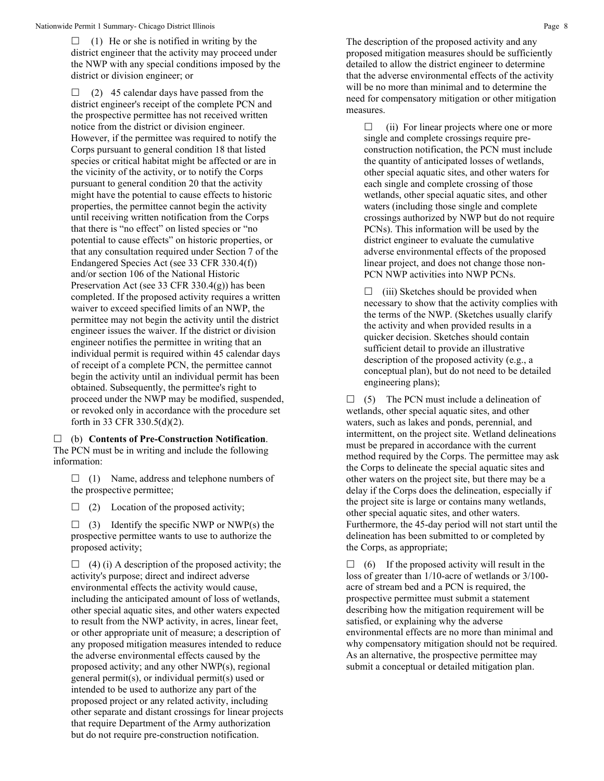$\Box$  (1) He or she is notified in writing by the district engineer that the activity may proceed under the NWP with any special conditions imposed by the district or division engineer; or

 $\Box$  (2) 45 calendar days have passed from the district engineer's receipt of the complete PCN and the prospective permittee has not received written notice from the district or division engineer. However, if the permittee was required to notify the Corps pursuant to general condition 18 that listed species or critical habitat might be affected or are in the vicinity of the activity, or to notify the Corps pursuant to general condition 20 that the activity might have the potential to cause effects to historic properties, the permittee cannot begin the activity until receiving written notification from the Corps that there is "no effect" on listed species or "no potential to cause effects" on historic properties, or that any consultation required under Section 7 of the Endangered Species Act (see 33 CFR 330.4(f)) and/or section 106 of the National Historic Preservation Act (see 33 CFR 330.4(g)) has been completed. If the proposed activity requires a written waiver to exceed specified limits of an NWP, the permittee may not begin the activity until the district engineer issues the waiver. If the district or division engineer notifies the permittee in writing that an individual permit is required within 45 calendar days of receipt of a complete PCN, the permittee cannot begin the activity until an individual permit has been obtained. Subsequently, the permittee's right to proceed under the NWP may be modified, suspended, or revoked only in accordance with the procedure set forth in 33 CFR 330.5(d)(2).

 (b) **Contents of Pre-Construction Notification**. The PCN must be in writing and include the following information:

 $\Box$  (1) Name, address and telephone numbers of the prospective permittee;

 $\Box$  (2) Location of the proposed activity;

 $\Box$  (3) Identify the specific NWP or NWP(s) the prospective permittee wants to use to authorize the proposed activity;

 $\Box$  (4) (i) A description of the proposed activity; the activity's purpose; direct and indirect adverse environmental effects the activity would cause, including the anticipated amount of loss of wetlands, other special aquatic sites, and other waters expected to result from the NWP activity, in acres, linear feet, or other appropriate unit of measure; a description of any proposed mitigation measures intended to reduce the adverse environmental effects caused by the proposed activity; and any other NWP(s), regional general permit(s), or individual permit(s) used or intended to be used to authorize any part of the proposed project or any related activity, including other separate and distant crossings for linear projects that require Department of the Army authorization but do not require pre-construction notification.

The description of the proposed activity and any proposed mitigation measures should be sufficiently detailed to allow the district engineer to determine that the adverse environmental effects of the activity will be no more than minimal and to determine the need for compensatory mitigation or other mitigation measures.

 $\Box$  (ii) For linear projects where one or more single and complete crossings require preconstruction notification, the PCN must include the quantity of anticipated losses of wetlands, other special aquatic sites, and other waters for each single and complete crossing of those wetlands, other special aquatic sites, and other waters (including those single and complete crossings authorized by NWP but do not require PCNs). This information will be used by the district engineer to evaluate the cumulative adverse environmental effects of the proposed linear project, and does not change those non-PCN NWP activities into NWP PCNs.

 $\Box$  (iii) Sketches should be provided when necessary to show that the activity complies with the terms of the NWP. (Sketches usually clarify the activity and when provided results in a quicker decision. Sketches should contain sufficient detail to provide an illustrative description of the proposed activity (e.g., a conceptual plan), but do not need to be detailed engineering plans);

 $\Box$  (5) The PCN must include a delineation of wetlands, other special aquatic sites, and other waters, such as lakes and ponds, perennial, and intermittent, on the project site. Wetland delineations must be prepared in accordance with the current method required by the Corps. The permittee may ask the Corps to delineate the special aquatic sites and other waters on the project site, but there may be a delay if the Corps does the delineation, especially if the project site is large or contains many wetlands, other special aquatic sites, and other waters. Furthermore, the 45-day period will not start until the delineation has been submitted to or completed by the Corps, as appropriate;

 $\Box$  (6) If the proposed activity will result in the loss of greater than 1/10-acre of wetlands or 3/100 acre of stream bed and a PCN is required, the prospective permittee must submit a statement describing how the mitigation requirement will be satisfied, or explaining why the adverse environmental effects are no more than minimal and why compensatory mitigation should not be required. As an alternative, the prospective permittee may submit a conceptual or detailed mitigation plan.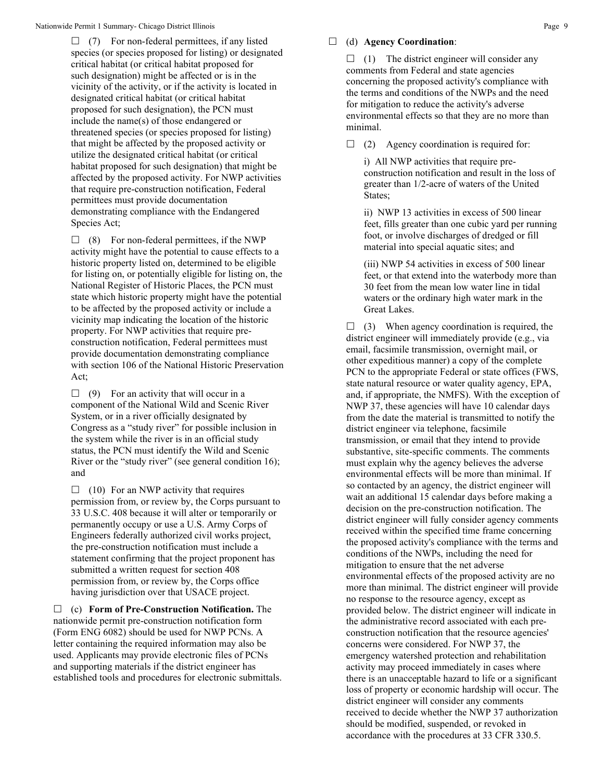$\Box$  (7) For non-federal permittees, if any listed species (or species proposed for listing) or designated critical habitat (or critical habitat proposed for such designation) might be affected or is in the vicinity of the activity, or if the activity is located in designated critical habitat (or critical habitat proposed for such designation), the PCN must include the name(s) of those endangered or threatened species (or species proposed for listing) that might be affected by the proposed activity or utilize the designated critical habitat (or critical habitat proposed for such designation) that might be affected by the proposed activity. For NWP activities that require pre-construction notification, Federal permittees must provide documentation demonstrating compliance with the Endangered Species Act;

 $\Box$  (8) For non-federal permittees, if the NWP activity might have the potential to cause effects to a historic property listed on, determined to be eligible for listing on, or potentially eligible for listing on, the National Register of Historic Places, the PCN must state which historic property might have the potential to be affected by the proposed activity or include a vicinity map indicating the location of the historic property. For NWP activities that require preconstruction notification, Federal permittees must provide documentation demonstrating compliance with section 106 of the National Historic Preservation Act;

 $\Box$  (9) For an activity that will occur in a component of the National Wild and Scenic River System, or in a river officially designated by Congress as a "study river" for possible inclusion in the system while the river is in an official study status, the PCN must identify the Wild and Scenic River or the "study river" (see general condition 16); and

 $\Box$  (10) For an NWP activity that requires permission from, or review by, the Corps pursuant to 33 U.S.C. 408 because it will alter or temporarily or permanently occupy or use a U.S. Army Corps of Engineers federally authorized civil works project, the pre-construction notification must include a statement confirming that the project proponent has submitted a written request for section 408 permission from, or review by, the Corps office having jurisdiction over that USACE project.

 (c) **Form of Pre-Construction Notification.** The nationwide permit pre-construction notification form (Form ENG 6082) should be used for NWP PCNs. A letter containing the required information may also be used. Applicants may provide electronic files of PCNs and supporting materials if the district engineer has established tools and procedures for electronic submittals.

#### (d) **Agency Coordination**:

 $\Box$  (1) The district engineer will consider any comments from Federal and state agencies concerning the proposed activity's compliance with the terms and conditions of the NWPs and the need for mitigation to reduce the activity's adverse environmental effects so that they are no more than minimal.

 $\Box$  (2) Agency coordination is required for:

i) All NWP activities that require preconstruction notification and result in the loss of greater than 1/2-acre of waters of the United States;

ii) NWP 13 activities in excess of 500 linear feet, fills greater than one cubic yard per running foot, or involve discharges of dredged or fill material into special aquatic sites; and

(iii) NWP 54 activities in excess of 500 linear feet, or that extend into the waterbody more than 30 feet from the mean low water line in tidal waters or the ordinary high water mark in the Great Lakes.

 $\Box$  (3) When agency coordination is required, the district engineer will immediately provide (e.g., via email, facsimile transmission, overnight mail, or other expeditious manner) a copy of the complete PCN to the appropriate Federal or state offices (FWS, state natural resource or water quality agency, EPA, and, if appropriate, the NMFS). With the exception of NWP 37, these agencies will have 10 calendar days from the date the material is transmitted to notify the district engineer via telephone, facsimile transmission, or email that they intend to provide substantive, site-specific comments. The comments must explain why the agency believes the adverse environmental effects will be more than minimal. If so contacted by an agency, the district engineer will wait an additional 15 calendar days before making a decision on the pre-construction notification. The district engineer will fully consider agency comments received within the specified time frame concerning the proposed activity's compliance with the terms and conditions of the NWPs, including the need for mitigation to ensure that the net adverse environmental effects of the proposed activity are no more than minimal. The district engineer will provide no response to the resource agency, except as provided below. The district engineer will indicate in the administrative record associated with each preconstruction notification that the resource agencies' concerns were considered. For NWP 37, the emergency watershed protection and rehabilitation activity may proceed immediately in cases where there is an unacceptable hazard to life or a significant loss of property or economic hardship will occur. The district engineer will consider any comments received to decide whether the NWP 37 authorization should be modified, suspended, or revoked in accordance with the procedures at 33 CFR 330.5.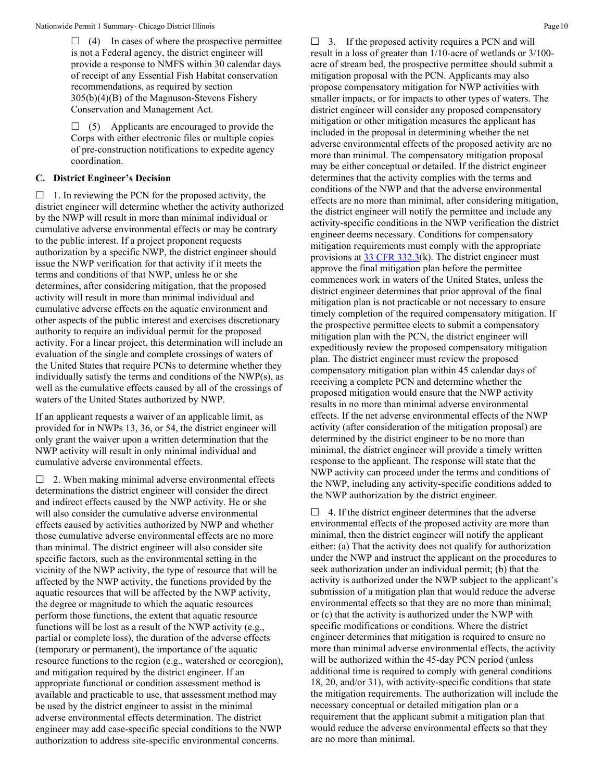$\Box$  (4) In cases of where the prospective permittee is not a Federal agency, the district engineer will provide a response to NMFS within 30 calendar days of receipt of any Essential Fish Habitat conservation recommendations, as required by section 305(b)(4)(B) of the Magnuson-Stevens Fishery Conservation and Management Act.

 $\Box$  (5) Applicants are encouraged to provide the Corps with either electronic files or multiple copies of pre-construction notifications to expedite agency coordination.

## **C. District Engineer's Decision**

 $\Box$  1. In reviewing the PCN for the proposed activity, the district engineer will determine whether the activity authorized by the NWP will result in more than minimal individual or cumulative adverse environmental effects or may be contrary to the public interest. If a project proponent requests authorization by a specific NWP, the district engineer should issue the NWP verification for that activity if it meets the terms and conditions of that NWP, unless he or she determines, after considering mitigation, that the proposed activity will result in more than minimal individual and cumulative adverse effects on the aquatic environment and other aspects of the public interest and exercises discretionary authority to require an individual permit for the proposed activity. For a linear project, this determination will include an evaluation of the single and complete crossings of waters of the United States that require PCNs to determine whether they individually satisfy the terms and conditions of the NWP(s), as well as the cumulative effects caused by all of the crossings of waters of the United States authorized by NWP.

If an applicant requests a waiver of an applicable limit, as provided for in NWPs 13, 36, or 54, the district engineer will only grant the waiver upon a written determination that the NWP activity will result in only minimal individual and cumulative adverse environmental effects.

 $\Box$  2. When making minimal adverse environmental effects determinations the district engineer will consider the direct and indirect effects caused by the NWP activity. He or she will also consider the cumulative adverse environmental effects caused by activities authorized by NWP and whether those cumulative adverse environmental effects are no more than minimal. The district engineer will also consider site specific factors, such as the environmental setting in the vicinity of the NWP activity, the type of resource that will be affected by the NWP activity, the functions provided by the aquatic resources that will be affected by the NWP activity, the degree or magnitude to which the aquatic resources perform those functions, the extent that aquatic resource functions will be lost as a result of the NWP activity (e.g., partial or complete loss), the duration of the adverse effects (temporary or permanent), the importance of the aquatic resource functions to the region (e.g., watershed or ecoregion), and mitigation required by the district engineer. If an appropriate functional or condition assessment method is available and practicable to use, that assessment method may be used by the district engineer to assist in the minimal adverse environmental effects determination. The district engineer may add case-specific special conditions to the NWP authorization to address site-specific environmental concerns.

 $\Box$  3. If the proposed activity requires a PCN and will result in a loss of greater than 1/10-acre of wetlands or 3/100 acre of stream bed, the prospective permittee should submit a mitigation proposal with the PCN. Applicants may also propose compensatory mitigation for NWP activities with smaller impacts, or for impacts to other types of waters. The district engineer will consider any proposed compensatory mitigation or other mitigation measures the applicant has included in the proposal in determining whether the net adverse environmental effects of the proposed activity are no more than minimal. The compensatory mitigation proposal may be either conceptual or detailed. If the district engineer determines that the activity complies with the terms and conditions of the NWP and that the adverse environmental effects are no more than minimal, after considering mitigation, the district engineer will notify the permittee and include any activity-specific conditions in the NWP verification the district engineer deems necessary. Conditions for compensatory mitigation requirements must comply with the appropriate provisions at [33 CFR 332.3\(](https://www.federalregister.gov/select-citation/2021/01/13/33-CFR-332.3)k). The district engineer must approve the final mitigation plan before the permittee commences work in waters of the United States, unless the district engineer determines that prior approval of the final mitigation plan is not practicable or not necessary to ensure timely completion of the required compensatory mitigation. If the prospective permittee elects to submit a compensatory mitigation plan with the PCN, the district engineer will expeditiously review the proposed compensatory mitigation plan. The district engineer must review the proposed compensatory mitigation plan within 45 calendar days of receiving a complete PCN and determine whether the proposed mitigation would ensure that the NWP activity results in no more than minimal adverse environmental effects. If the net adverse environmental effects of the NWP activity (after consideration of the mitigation proposal) are determined by the district engineer to be no more than minimal, the district engineer will provide a timely written response to the applicant. The response will state that the NWP activity can proceed under the terms and conditions of the NWP, including any activity-specific conditions added to the NWP authorization by the district engineer.

 $\Box$  4. If the district engineer determines that the adverse environmental effects of the proposed activity are more than minimal, then the district engineer will notify the applicant either: (a) That the activity does not qualify for authorization under the NWP and instruct the applicant on the procedures to seek authorization under an individual permit; (b) that the activity is authorized under the NWP subject to the applicant's submission of a mitigation plan that would reduce the adverse environmental effects so that they are no more than minimal; or (c) that the activity is authorized under the NWP with specific modifications or conditions. Where the district engineer determines that mitigation is required to ensure no more than minimal adverse environmental effects, the activity will be authorized within the 45-day PCN period (unless additional time is required to comply with general conditions 18, 20, and/or 31), with activity-specific conditions that state the mitigation requirements. The authorization will include the necessary conceptual or detailed mitigation plan or a requirement that the applicant submit a mitigation plan that would reduce the adverse environmental effects so that they are no more than minimal.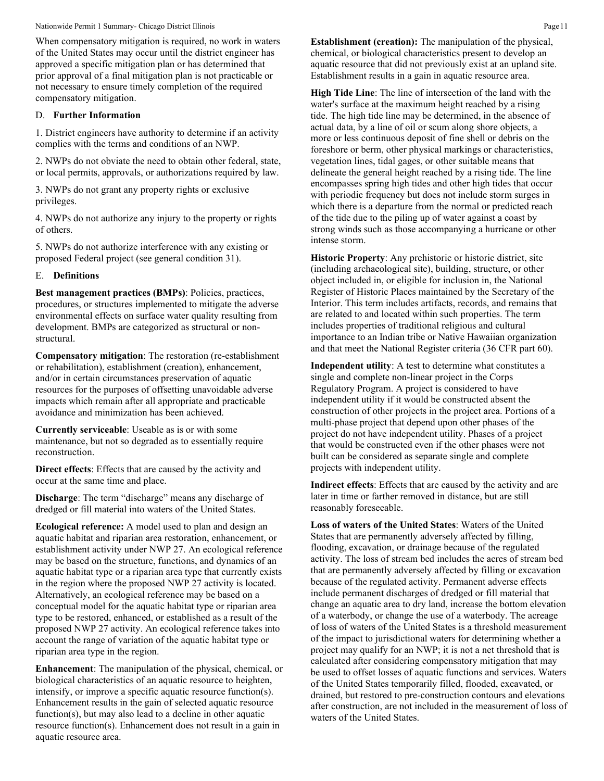Nationwide Permit 1 Summary- Chicago District Illinois **Page 11** and the state of the state of the state of the state of the state of the state of the state of the state of the state of the state of the state of the state

When compensatory mitigation is required, no work in waters of the United States may occur until the district engineer has approved a specific mitigation plan or has determined that prior approval of a final mitigation plan is not practicable or not necessary to ensure timely completion of the required compensatory mitigation.

## D. **Further Information**

1. District engineers have authority to determine if an activity complies with the terms and conditions of an NWP.

2. NWPs do not obviate the need to obtain other federal, state, or local permits, approvals, or authorizations required by law.

3. NWPs do not grant any property rights or exclusive privileges.

4. NWPs do not authorize any injury to the property or rights of others.

5. NWPs do not authorize interference with any existing or proposed Federal project (see general condition 31).

## E. **Definitions**

**Best management practices (BMPs)**: Policies, practices, procedures, or structures implemented to mitigate the adverse environmental effects on surface water quality resulting from development. BMPs are categorized as structural or nonstructural.

**Compensatory mitigation**: The restoration (re-establishment or rehabilitation), establishment (creation), enhancement, and/or in certain circumstances preservation of aquatic resources for the purposes of offsetting unavoidable adverse impacts which remain after all appropriate and practicable avoidance and minimization has been achieved.

**Currently serviceable**: Useable as is or with some maintenance, but not so degraded as to essentially require reconstruction.

**Direct effects**: Effects that are caused by the activity and occur at the same time and place.

**Discharge**: The term "discharge" means any discharge of dredged or fill material into waters of the United States.

**Ecological reference:** A model used to plan and design an aquatic habitat and riparian area restoration, enhancement, or establishment activity under NWP 27. An ecological reference may be based on the structure, functions, and dynamics of an aquatic habitat type or a riparian area type that currently exists in the region where the proposed NWP 27 activity is located. Alternatively, an ecological reference may be based on a conceptual model for the aquatic habitat type or riparian area type to be restored, enhanced, or established as a result of the proposed NWP 27 activity. An ecological reference takes into account the range of variation of the aquatic habitat type or riparian area type in the region.

**Enhancement**: The manipulation of the physical, chemical, or biological characteristics of an aquatic resource to heighten, intensify, or improve a specific aquatic resource function(s). Enhancement results in the gain of selected aquatic resource function(s), but may also lead to a decline in other aquatic resource function(s). Enhancement does not result in a gain in aquatic resource area.

**Establishment (creation):** The manipulation of the physical, chemical, or biological characteristics present to develop an aquatic resource that did not previously exist at an upland site. Establishment results in a gain in aquatic resource area.

**High Tide Line**: The line of intersection of the land with the water's surface at the maximum height reached by a rising tide. The high tide line may be determined, in the absence of actual data, by a line of oil or scum along shore objects, a more or less continuous deposit of fine shell or debris on the foreshore or berm, other physical markings or characteristics, vegetation lines, tidal gages, or other suitable means that delineate the general height reached by a rising tide. The line encompasses spring high tides and other high tides that occur with periodic frequency but does not include storm surges in which there is a departure from the normal or predicted reach of the tide due to the piling up of water against a coast by strong winds such as those accompanying a hurricane or other intense storm.

**Historic Property**: Any prehistoric or historic district, site (including archaeological site), building, structure, or other object included in, or eligible for inclusion in, the National Register of Historic Places maintained by the Secretary of the Interior. This term includes artifacts, records, and remains that are related to and located within such properties. The term includes properties of traditional religious and cultural importance to an Indian tribe or Native Hawaiian organization and that meet the National Register criteria (36 CFR part 60).

**Independent utility**: A test to determine what constitutes a single and complete non-linear project in the Corps Regulatory Program. A project is considered to have independent utility if it would be constructed absent the construction of other projects in the project area. Portions of a multi-phase project that depend upon other phases of the project do not have independent utility. Phases of a project that would be constructed even if the other phases were not built can be considered as separate single and complete projects with independent utility.

**Indirect effects**: Effects that are caused by the activity and are later in time or farther removed in distance, but are still reasonably foreseeable.

**Loss of waters of the United States**: Waters of the United States that are permanently adversely affected by filling, flooding, excavation, or drainage because of the regulated activity. The loss of stream bed includes the acres of stream bed that are permanently adversely affected by filling or excavation because of the regulated activity. Permanent adverse effects include permanent discharges of dredged or fill material that change an aquatic area to dry land, increase the bottom elevation of a waterbody, or change the use of a waterbody. The acreage of loss of waters of the United States is a threshold measurement of the impact to jurisdictional waters for determining whether a project may qualify for an NWP; it is not a net threshold that is calculated after considering compensatory mitigation that may be used to offset losses of aquatic functions and services. Waters of the United States temporarily filled, flooded, excavated, or drained, but restored to pre-construction contours and elevations after construction, are not included in the measurement of loss of waters of the United States.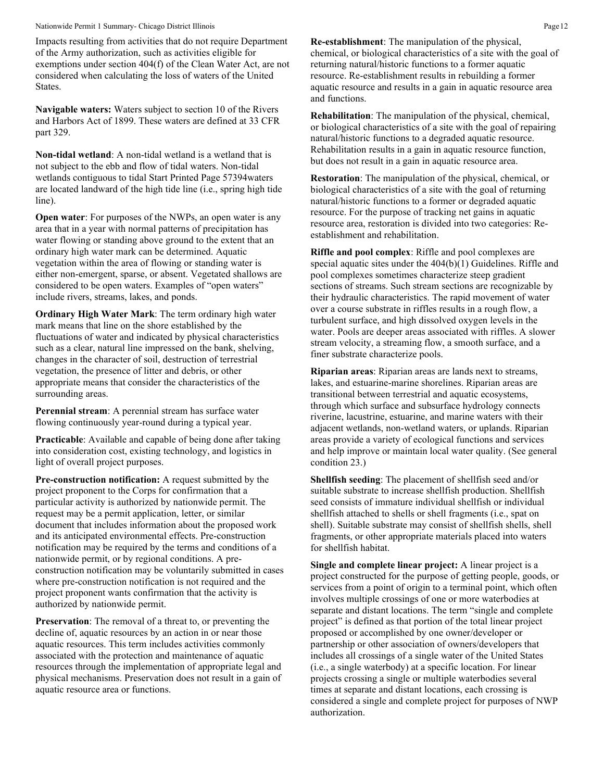#### Nationwide Permit 1 Summary- Chicago District Illinois **Page 12** Page 12

Impacts resulting from activities that do not require Department of the Army authorization, such as activities eligible for exemptions under section 404(f) of the Clean Water Act, are not considered when calculating the loss of waters of the United States.

**Navigable waters:** Waters subject to section 10 of the Rivers and Harbors Act of 1899. These waters are defined at 33 CFR part 329.

**Non-tidal wetland**: A non-tidal wetland is a wetland that is not subject to the ebb and flow of tidal waters. Non-tidal wetlands contiguous to tidal Start Printed Page 57394waters are located landward of the high tide line (i.e., spring high tide line).

**Open water**: For purposes of the NWPs, an open water is any area that in a year with normal patterns of precipitation has water flowing or standing above ground to the extent that an ordinary high water mark can be determined. Aquatic vegetation within the area of flowing or standing water is either non-emergent, sparse, or absent. Vegetated shallows are considered to be open waters. Examples of "open waters" include rivers, streams, lakes, and ponds.

**Ordinary High Water Mark**: The term ordinary high water mark means that line on the shore established by the fluctuations of water and indicated by physical characteristics such as a clear, natural line impressed on the bank, shelving, changes in the character of soil, destruction of terrestrial vegetation, the presence of litter and debris, or other appropriate means that consider the characteristics of the surrounding areas.

**Perennial stream**: A perennial stream has surface water flowing continuously year-round during a typical year.

**Practicable**: Available and capable of being done after taking into consideration cost, existing technology, and logistics in light of overall project purposes.

**Pre-construction notification:** A request submitted by the project proponent to the Corps for confirmation that a particular activity is authorized by nationwide permit. The request may be a permit application, letter, or similar document that includes information about the proposed work and its anticipated environmental effects. Pre-construction notification may be required by the terms and conditions of a nationwide permit, or by regional conditions. A preconstruction notification may be voluntarily submitted in cases where pre-construction notification is not required and the project proponent wants confirmation that the activity is authorized by nationwide permit.

**Preservation**: The removal of a threat to, or preventing the decline of, aquatic resources by an action in or near those aquatic resources. This term includes activities commonly associated with the protection and maintenance of aquatic resources through the implementation of appropriate legal and physical mechanisms. Preservation does not result in a gain of aquatic resource area or functions.

**Re-establishment**: The manipulation of the physical, chemical, or biological characteristics of a site with the goal of returning natural/historic functions to a former aquatic resource. Re-establishment results in rebuilding a former aquatic resource and results in a gain in aquatic resource area and functions.

**Rehabilitation**: The manipulation of the physical, chemical, or biological characteristics of a site with the goal of repairing natural/historic functions to a degraded aquatic resource. Rehabilitation results in a gain in aquatic resource function, but does not result in a gain in aquatic resource area.

**Restoration**: The manipulation of the physical, chemical, or biological characteristics of a site with the goal of returning natural/historic functions to a former or degraded aquatic resource. For the purpose of tracking net gains in aquatic resource area, restoration is divided into two categories: Reestablishment and rehabilitation.

**Riffle and pool complex**: Riffle and pool complexes are special aquatic sites under the 404(b)(1) Guidelines. Riffle and pool complexes sometimes characterize steep gradient sections of streams. Such stream sections are recognizable by their hydraulic characteristics. The rapid movement of water over a course substrate in riffles results in a rough flow, a turbulent surface, and high dissolved oxygen levels in the water. Pools are deeper areas associated with riffles. A slower stream velocity, a streaming flow, a smooth surface, and a finer substrate characterize pools.

**Riparian areas**: Riparian areas are lands next to streams, lakes, and estuarine-marine shorelines. Riparian areas are transitional between terrestrial and aquatic ecosystems, through which surface and subsurface hydrology connects riverine, lacustrine, estuarine, and marine waters with their adjacent wetlands, non-wetland waters, or uplands. Riparian areas provide a variety of ecological functions and services and help improve or maintain local water quality. (See general condition 23.)

**Shellfish seeding**: The placement of shellfish seed and/or suitable substrate to increase shellfish production. Shellfish seed consists of immature individual shellfish or individual shellfish attached to shells or shell fragments (i.e., spat on shell). Suitable substrate may consist of shellfish shells, shell fragments, or other appropriate materials placed into waters for shellfish habitat.

**Single and complete linear project:** A linear project is a project constructed for the purpose of getting people, goods, or services from a point of origin to a terminal point, which often involves multiple crossings of one or more waterbodies at separate and distant locations. The term "single and complete project" is defined as that portion of the total linear project proposed or accomplished by one owner/developer or partnership or other association of owners/developers that includes all crossings of a single water of the United States (i.e., a single waterbody) at a specific location. For linear projects crossing a single or multiple waterbodies several times at separate and distant locations, each crossing is considered a single and complete project for purposes of NWP authorization.